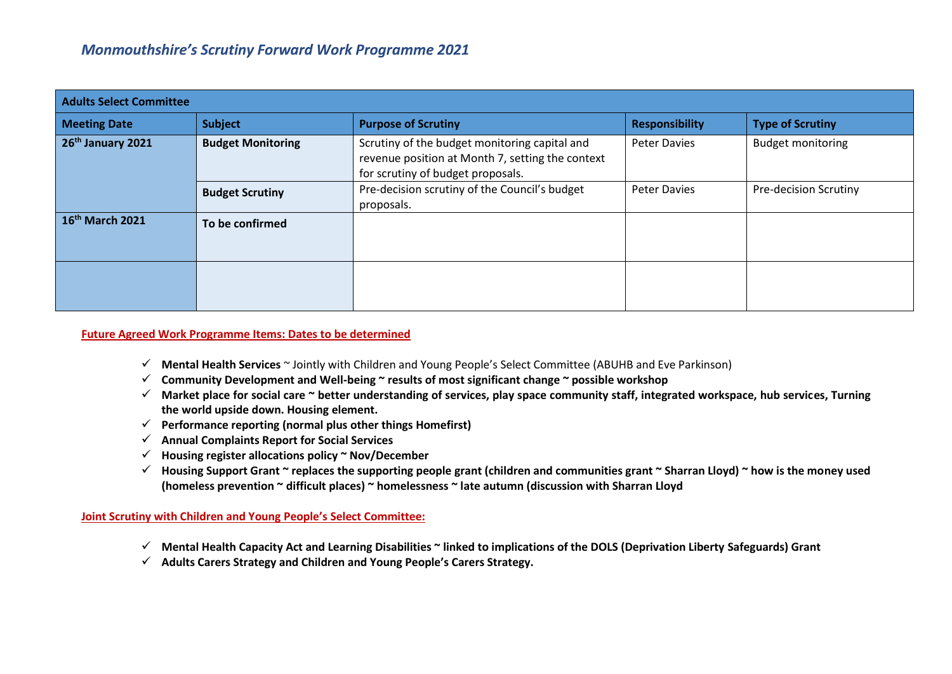| <b>Adults Select Committee</b> |                          |                                                                                                                                        |                       |                              |
|--------------------------------|--------------------------|----------------------------------------------------------------------------------------------------------------------------------------|-----------------------|------------------------------|
| <b>Meeting Date</b>            | Subject                  | <b>Purpose of Scrutiny</b>                                                                                                             | <b>Responsibility</b> | <b>Type of Scrutiny</b>      |
| 26 <sup>th</sup> January 2021  | <b>Budget Monitoring</b> | Scrutiny of the budget monitoring capital and<br>revenue position at Month 7, setting the context<br>for scrutiny of budget proposals. | <b>Peter Davies</b>   | <b>Budget monitoring</b>     |
|                                | <b>Budget Scrutiny</b>   | Pre-decision scrutiny of the Council's budget<br>proposals.                                                                            | <b>Peter Davies</b>   | <b>Pre-decision Scrutiny</b> |
| 16th March 2021                | To be confirmed          |                                                                                                                                        |                       |                              |
|                                |                          |                                                                                                                                        |                       |                              |

## **Future Agreed Work Programme Items: Dates to be determined**

- **Mental Health Services** ~ Jointly with Children and Young People's Select Committee (ABUHB and Eve Parkinson)
- **Community Development and Well-being ~ results of most significant change ~ possible workshop**
- **Market place for social care ~ better understanding of services, play space community staff, integrated workspace, hub services, Turning the world upside down. Housing element.**
- **Performance reporting (normal plus other things Homefirst)**
- **Annual Complaints Report for Social Services**
- **Housing register allocations policy ~ Nov/December**
- **Housing Support Grant ~ replaces the supporting people grant (children and communities grant ~ Sharran Lloyd) ~ how is the money used (homeless prevention ~ difficult places) ~ homelessness ~ late autumn (discussion with Sharran Lloyd**

## **Joint Scrutiny with Children and Young People's Select Committee:**

- **Mental Health Capacity Act and Learning Disabilities ~ linked to implications of the DOLS (Deprivation Liberty Safeguards) Grant**
- **Adults Carers Strategy and Children and Young People's Carers Strategy.**